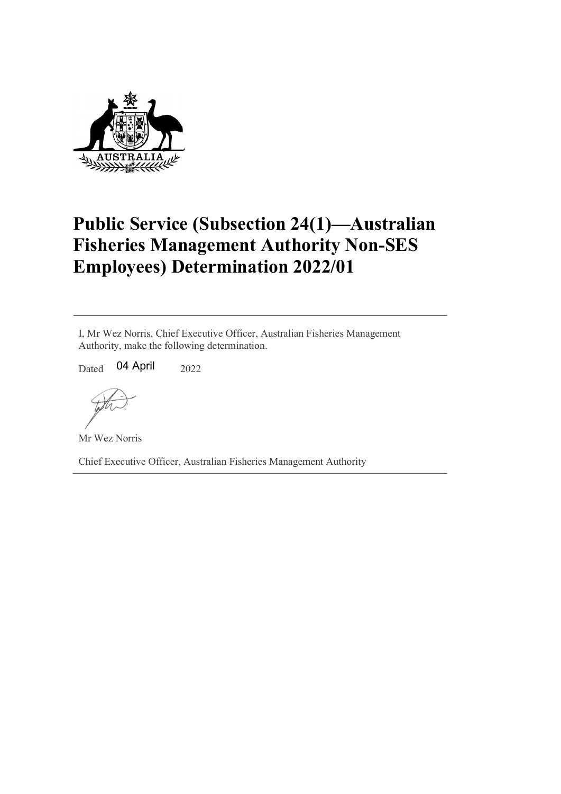

## Public Service (Subsection 24(1)—Australian Fisheries Management Authority Non-SES Employees) Determination 2022/01

I, Mr Wez Norris, Chief Executive Officer, Australian Fisheries Management Authority, make the following determination.

 $_{\text{Dated}}$  04 April  $_{\text{2022}}$ 

Mr Wez Norris

Chief Executive Officer, Australian Fisheries Management Authority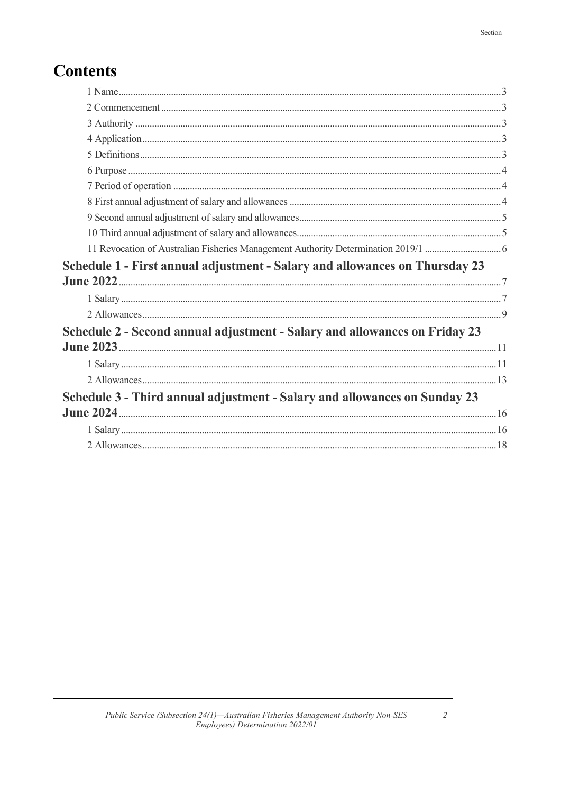## **Contents**

| Schedule 1 - First annual adjustment - Salary and allowances on Thursday 23 |  |
|-----------------------------------------------------------------------------|--|
|                                                                             |  |
|                                                                             |  |
|                                                                             |  |
| Schedule 2 - Second annual adjustment - Salary and allowances on Friday 23  |  |
|                                                                             |  |
|                                                                             |  |
|                                                                             |  |
| Schedule 3 - Third annual adjustment - Salary and allowances on Sunday 23   |  |
|                                                                             |  |
|                                                                             |  |
|                                                                             |  |
|                                                                             |  |

 $\overline{c}$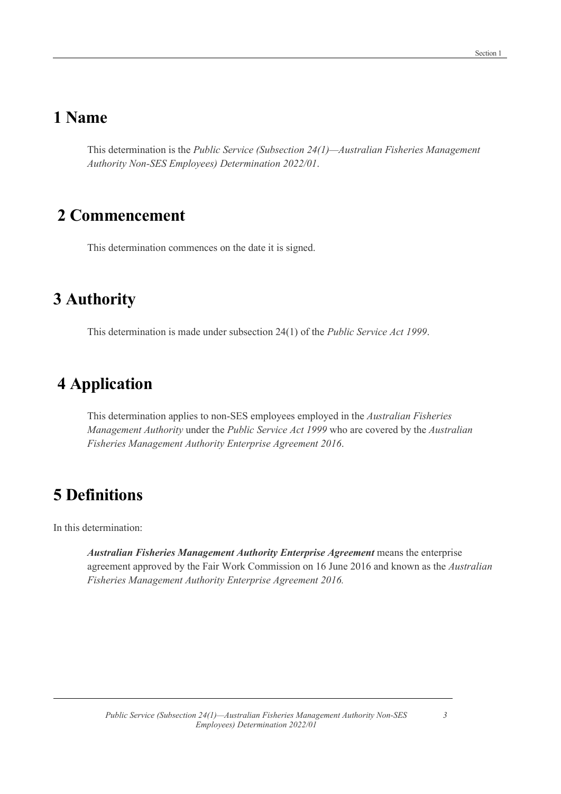#### 1 Name

This determination is the Public Service (Subsection 24(1)—Australian Fisheries Management Authority Non-SES Employees) Determination 2022/01.

#### 2 Commencement

This determination commences on the date it is signed.

#### 3 Authority

This determination is made under subsection 24(1) of the Public Service Act 1999.

#### 4 Application

This determination applies to non-SES employees employed in the Australian Fisheries Management Authority under the Public Service Act 1999 who are covered by the Australian Fisheries Management Authority Enterprise Agreement 2016.

#### 5 Definitions

In this determination:

Australian Fisheries Management Authority Enterprise Agreement means the enterprise agreement approved by the Fair Work Commission on 16 June 2016 and known as the Australian Fisheries Management Authority Enterprise Agreement 2016.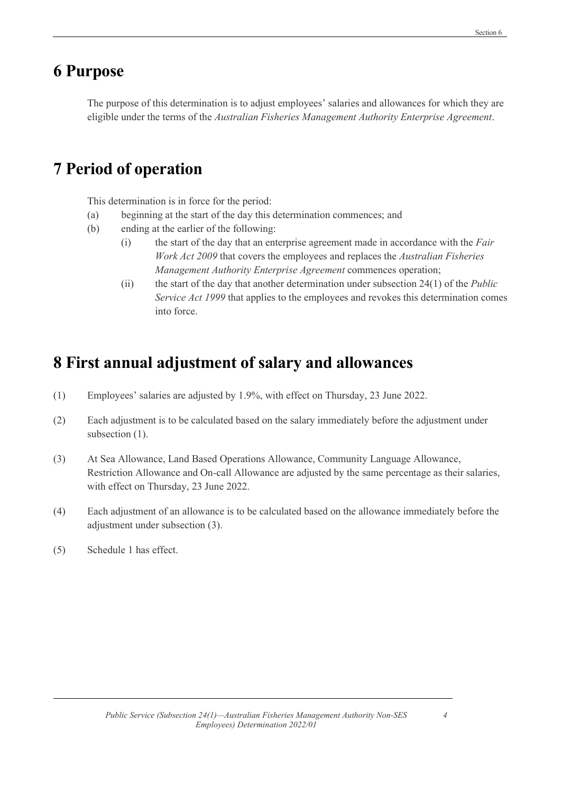#### 6 Purpose

The purpose of this determination is to adjust employees' salaries and allowances for which they are eligible under the terms of the Australian Fisheries Management Authority Enterprise Agreement.

## 7 Period of operation

This determination is in force for the period:

- (a) beginning at the start of the day this determination commences; and
- (b) ending at the earlier of the following:
	- (i) the start of the day that an enterprise agreement made in accordance with the Fair Work Act 2009 that covers the employees and replaces the Australian Fisheries Management Authority Enterprise Agreement commences operation;
	- (ii) the start of the day that another determination under subsection  $24(1)$  of the *Public* Service Act 1999 that applies to the employees and revokes this determination comes into force.

### 8 First annual adjustment of salary and allowances

- (1) Employees' salaries are adjusted by 1.9%, with effect on Thursday, 23 June 2022.
- (2) Each adjustment is to be calculated based on the salary immediately before the adjustment under subsection  $(1)$ .
- (3) At Sea Allowance, Land Based Operations Allowance, Community Language Allowance, Restriction Allowance and On-call Allowance are adjusted by the same percentage as their salaries, with effect on Thursday, 23 June 2022.
- (4) Each adjustment of an allowance is to be calculated based on the allowance immediately before the adjustment under subsection (3).
- (5) Schedule 1 has effect.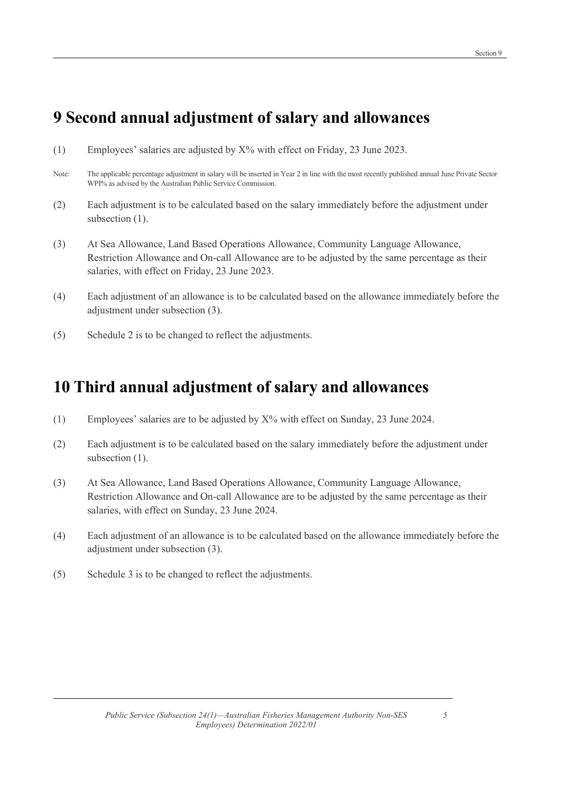### 9 Second annual adjustment of salary and allowances

- (1) Employees' salaries are adjusted by X% with effect on Friday, 23 June 2023.
- Note: The applicable percentage adjustment in salary will be inserted in Year 2 in line with the most recently published annual June Private Sector WPI% as advised by the Australian Public Service Commission.
- (2) Each adjustment is to be calculated based on the salary immediately before the adjustment under subsection  $(1)$ .
- (3) At Sea Allowance, Land Based Operations Allowance, Community Language Allowance, Restriction Allowance and On-call Allowance are to be adjusted by the same percentage as their salaries, with effect on Friday, 23 June 2023.
- (4) Each adjustment of an allowance is to be calculated based on the allowance immediately before the adjustment under subsection (3).
- (5) Schedule 2 is to be changed to reflect the adjustments.

#### 10 Third annual adjustment of salary and allowances

- (1) Employees' salaries are to be adjusted by X% with effect on Sunday, 23 June 2024.
- (2) Each adjustment is to be calculated based on the salary immediately before the adjustment under subsection  $(1)$ .
- (3) At Sea Allowance, Land Based Operations Allowance, Community Language Allowance, Restriction Allowance and On-call Allowance are to be adjusted by the same percentage as their salaries, with effect on Sunday, 23 June 2024.
- (4) Each adjustment of an allowance is to be calculated based on the allowance immediately before the adjustment under subsection (3).
- (5) Schedule 3 is to be changed to reflect the adjustments.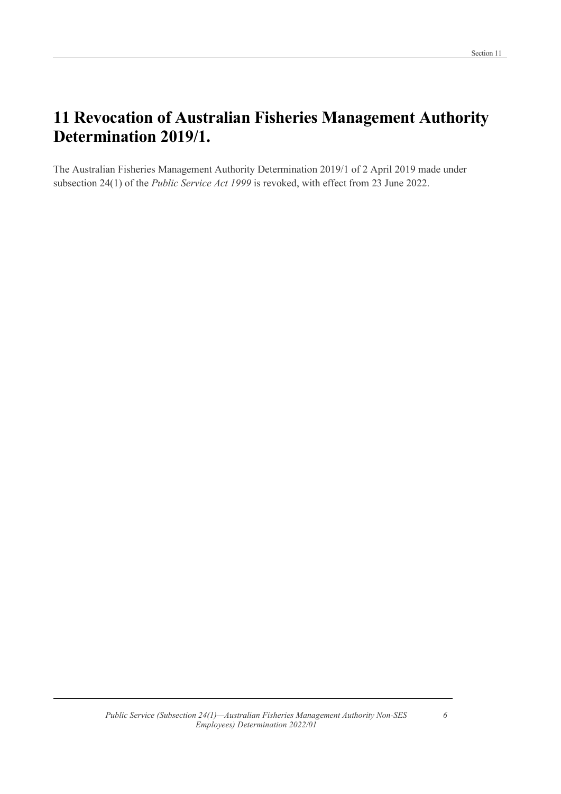### 11 Revocation of Australian Fisheries Management Authority Determination 2019/1.

The Australian Fisheries Management Authority Determination 2019/1 of 2 April 2019 made under subsection 24(1) of the Public Service Act 1999 is revoked, with effect from 23 June 2022.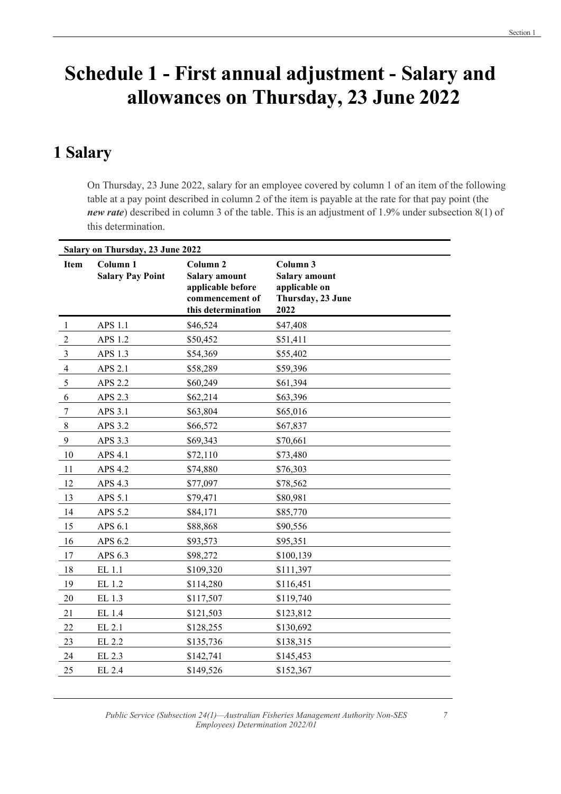# Schedule 1 - First annual adjustment - Salary and allowances on Thursday, 23 June 2022

#### 1 Salary

On Thursday, 23 June 2022, salary for an employee covered by column 1 of an item of the following table at a pay point described in column 2 of the item is payable at the rate for that pay point (the new rate) described in column 3 of the table. This is an adjustment of 1.9% under subsection 8(1) of this determination.

|                | Salary on Thursday, 23 June 2022               |                                                                                                           |                                                                                |  |
|----------------|------------------------------------------------|-----------------------------------------------------------------------------------------------------------|--------------------------------------------------------------------------------|--|
| <b>Item</b>    | Column <sub>1</sub><br><b>Salary Pay Point</b> | Column <sub>2</sub><br><b>Salary amount</b><br>applicable before<br>commencement of<br>this determination | Column 3<br><b>Salary amount</b><br>applicable on<br>Thursday, 23 June<br>2022 |  |
| -1             | APS 1.1                                        | \$46,524                                                                                                  | \$47,408                                                                       |  |
| $\overline{2}$ | APS 1.2                                        | \$50,452                                                                                                  | \$51,411                                                                       |  |
| 3              | APS 1.3                                        | \$54,369                                                                                                  | \$55,402                                                                       |  |
| $\overline{4}$ | APS 2.1                                        | \$58,289                                                                                                  | \$59,396                                                                       |  |
| 5              | APS 2.2                                        | \$60,249                                                                                                  | \$61,394                                                                       |  |
| 6              | APS 2.3                                        | \$62,214                                                                                                  | \$63,396                                                                       |  |
| 7              | APS 3.1                                        | \$63,804                                                                                                  | \$65,016                                                                       |  |
| $\,$ 8 $\,$    | APS 3.2                                        | \$66,572                                                                                                  | \$67,837                                                                       |  |
| $\overline{9}$ | APS 3.3                                        | \$69,343                                                                                                  | \$70,661                                                                       |  |
| 10             | APS 4.1                                        | \$72,110                                                                                                  | \$73,480                                                                       |  |
| 11             | APS 4.2                                        | \$74,880                                                                                                  | \$76,303                                                                       |  |
| 12             | APS 4.3                                        | \$77,097                                                                                                  | \$78,562                                                                       |  |
| 13             | APS 5.1                                        | \$79,471                                                                                                  | \$80,981                                                                       |  |
| 14             | APS 5.2                                        | \$84,171                                                                                                  | \$85,770                                                                       |  |
| 15             | APS 6.1                                        | \$88,868                                                                                                  | \$90,556                                                                       |  |
| 16             | APS 6.2                                        | \$93,573                                                                                                  | \$95,351                                                                       |  |
| 17             | APS 6.3                                        | \$98,272                                                                                                  | \$100,139                                                                      |  |
| 18             | EL 1.1                                         | \$109,320                                                                                                 | \$111,397                                                                      |  |
| 19             | EL 1.2                                         | \$114,280                                                                                                 | \$116,451                                                                      |  |
| 20             | EL 1.3                                         | \$117,507                                                                                                 | \$119,740                                                                      |  |
| 21             | EL 1.4                                         | \$121,503                                                                                                 | \$123,812                                                                      |  |
| 22             | EL 2.1                                         | \$128,255                                                                                                 | \$130,692                                                                      |  |
| 23             | EL 2.2                                         | \$135,736                                                                                                 | \$138,315                                                                      |  |
| 24             | EL 2.3                                         | \$142,741                                                                                                 | \$145,453                                                                      |  |
| 25             | EL 2.4                                         | \$149,526                                                                                                 | \$152,367                                                                      |  |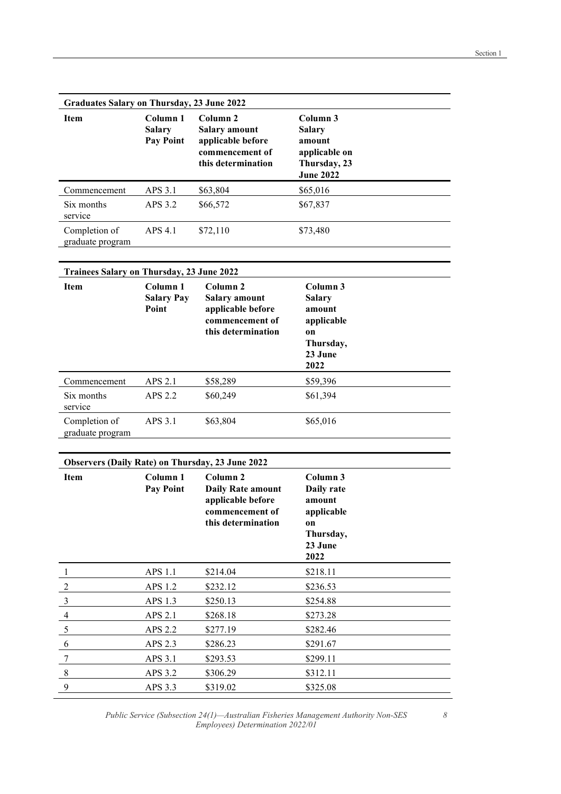| <b>Graduates Salary on Thursday, 23 June 2022</b> |                                                   |                                                                                                           |                                                                                   |  |
|---------------------------------------------------|---------------------------------------------------|-----------------------------------------------------------------------------------------------------------|-----------------------------------------------------------------------------------|--|
| <b>Item</b>                                       | Column 1<br><b>Salary</b><br><b>Pay Point</b>     | Column <sub>2</sub><br><b>Salary amount</b><br>applicable before<br>commencement of<br>this determination | Column 3<br>Salary<br>amount<br>applicable on<br>Thursday, 23<br><b>June 2022</b> |  |
| Commencement                                      | APS 3.1                                           | \$63,804                                                                                                  | \$65,016                                                                          |  |
| Six months<br>service                             | APS 3.2                                           | \$66,572                                                                                                  | \$67,837                                                                          |  |
| Completion of<br>graduate program                 | APS 4.1                                           | \$72,110                                                                                                  | \$73,480                                                                          |  |
| <b>Trainees Salary on Thursday, 23 June 2022</b>  |                                                   |                                                                                                           |                                                                                   |  |
| <b>Item</b>                                       | Column <sub>1</sub><br><b>Salary Pay</b><br>Point | Column <sub>2</sub><br><b>Salary amount</b><br>applicable before<br>commencement of<br>this determination | Column 3<br>Salary<br>amount<br>applicable<br>on<br>Thursday,<br>23 June<br>2022  |  |
| Commencement                                      | APS 2.1                                           | \$58,289                                                                                                  | \$59,396                                                                          |  |
| Six months<br>service                             | APS 2.2                                           | \$60,249                                                                                                  | \$61,394                                                                          |  |
| Completion of<br>graduate program                 | APS 3.1                                           | \$63,804                                                                                                  | \$65,016                                                                          |  |

| <b>Observers (Daily Rate) on Thursday, 23 June 2022</b> |                              |                                                                                                               |                                                                                                 |
|---------------------------------------------------------|------------------------------|---------------------------------------------------------------------------------------------------------------|-------------------------------------------------------------------------------------------------|
| <b>Item</b>                                             | Column 1<br><b>Pay Point</b> | Column <sub>2</sub><br><b>Daily Rate amount</b><br>applicable before<br>commencement of<br>this determination | Column 3<br>Daily rate<br>amount<br>applicable<br><sub>on</sub><br>Thursday,<br>23 June<br>2022 |
| 1                                                       | APS 1.1                      | \$214.04                                                                                                      | \$218.11                                                                                        |
| $\overline{2}$                                          | APS 1.2                      | \$232.12                                                                                                      | \$236.53                                                                                        |
| 3                                                       | APS 1.3                      | \$250.13                                                                                                      | \$254.88                                                                                        |
| $\overline{4}$                                          | APS 2.1                      | \$268.18                                                                                                      | \$273.28                                                                                        |
| 5                                                       | APS 2.2                      | \$277.19                                                                                                      | \$282.46                                                                                        |
| 6                                                       | APS 2.3                      | \$286.23                                                                                                      | \$291.67                                                                                        |
| 7                                                       | APS 3.1                      | \$293.53                                                                                                      | \$299.11                                                                                        |
| 8                                                       | APS 3.2                      | \$306.29                                                                                                      | \$312.11                                                                                        |
| 9                                                       | APS 3.3                      | \$319.02                                                                                                      | \$325.08                                                                                        |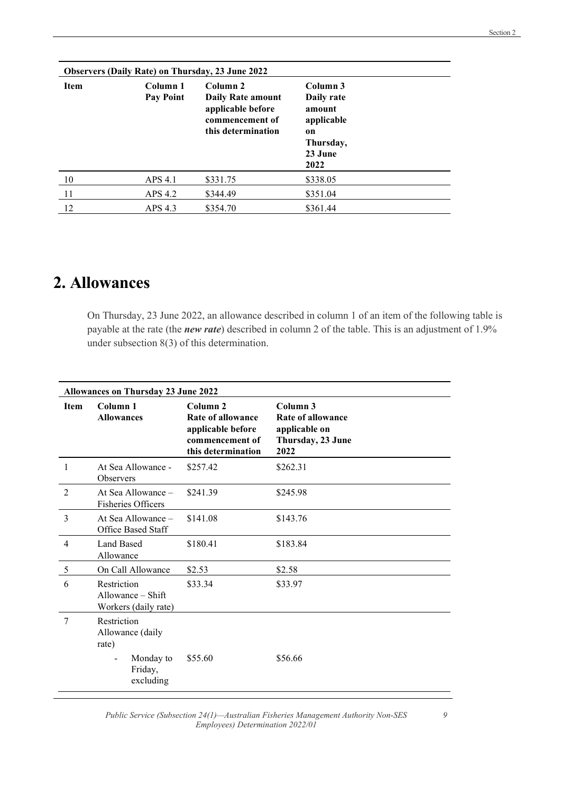| <b>Observers (Daily Rate) on Thursday, 23 June 2022</b> |                              |                                                                                                    |                                                                                      |  |
|---------------------------------------------------------|------------------------------|----------------------------------------------------------------------------------------------------|--------------------------------------------------------------------------------------|--|
| <b>Item</b>                                             | Column 1<br><b>Pay Point</b> | Column 2<br><b>Daily Rate amount</b><br>applicable before<br>commencement of<br>this determination | Column 3<br>Daily rate<br>amount<br>applicable<br>on<br>Thursday,<br>23 June<br>2022 |  |
| 10                                                      | APS 4.1                      | \$331.75                                                                                           | \$338.05                                                                             |  |
| 11                                                      | APS 4.2                      | \$344.49                                                                                           | \$351.04                                                                             |  |
| 12                                                      | APS 4.3                      | \$354.70                                                                                           | \$361.44                                                                             |  |

#### 2. Allowances

On Thursday, 23 June 2022, an allowance described in column 1 of an item of the following table is payable at the rate (the *new rate*) described in column 2 of the table. This is an adjustment of 1.9% under subsection 8(3) of this determination.

|                | <b>Allowances on Thursday 23 June 2022</b>                 |                                                                                             |                                                                             |  |
|----------------|------------------------------------------------------------|---------------------------------------------------------------------------------------------|-----------------------------------------------------------------------------|--|
| <b>Item</b>    | Column 1<br><b>Allowances</b>                              | Column 2<br>Rate of allowance<br>applicable before<br>commencement of<br>this determination | Column 3<br>Rate of allowance<br>applicable on<br>Thursday, 23 June<br>2022 |  |
| 1              | At Sea Allowance -<br><b>Observers</b>                     | \$257.42                                                                                    | \$262.31                                                                    |  |
| $\mathfrak{D}$ | At Sea Allowance –<br><b>Fisheries Officers</b>            | \$241.39                                                                                    | \$245.98                                                                    |  |
| 3              | At Sea Allowance $-$<br>Office Based Staff                 | \$141.08                                                                                    | \$143.76                                                                    |  |
| $\overline{4}$ | <b>Land Based</b><br>Allowance                             | \$180.41                                                                                    | \$183.84                                                                    |  |
| 5              | On Call Allowance                                          | \$2.53                                                                                      | \$2.58                                                                      |  |
| 6              | Restriction<br>Allowance $-$ Shift<br>Workers (daily rate) | \$33.34                                                                                     | \$33.97                                                                     |  |
| 7              | Restriction<br>Allowance (daily<br>rate)                   |                                                                                             |                                                                             |  |
|                | Monday to<br>-<br>Friday,<br>excluding                     | \$55.60                                                                                     | \$56.66                                                                     |  |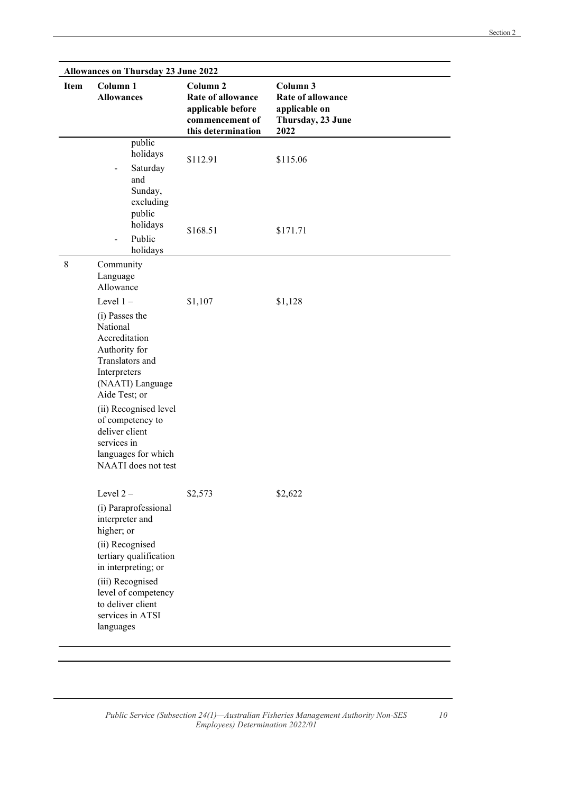| <b>Allowances on Thursday 23 June 2022</b><br>Column <sub>1</sub><br>Column <sub>2</sub><br>Column 3<br><b>Item</b> |                                                                                                                                                                                                                                                                                 |                                                                                 |                                                                        |
|---------------------------------------------------------------------------------------------------------------------|---------------------------------------------------------------------------------------------------------------------------------------------------------------------------------------------------------------------------------------------------------------------------------|---------------------------------------------------------------------------------|------------------------------------------------------------------------|
|                                                                                                                     | <b>Allowances</b>                                                                                                                                                                                                                                                               | Rate of allowance<br>applicable before<br>commencement of<br>this determination | <b>Rate of allowance</b><br>applicable on<br>Thursday, 23 June<br>2022 |
|                                                                                                                     | public<br>holidays<br>Saturday<br>and<br>Sunday,<br>excluding<br>public                                                                                                                                                                                                         | \$112.91                                                                        | \$115.06                                                               |
|                                                                                                                     | holidays<br>Public<br>holidays                                                                                                                                                                                                                                                  | \$168.51                                                                        | \$171.71                                                               |
| 8                                                                                                                   | Community<br>Language<br>Allowance                                                                                                                                                                                                                                              |                                                                                 |                                                                        |
|                                                                                                                     | Level $1 -$<br>(i) Passes the<br>National<br>Accreditation<br>Authority for<br>Translators and<br>Interpreters<br>(NAATI) Language<br>Aide Test; or<br>(ii) Recognised level<br>of competency to<br>deliver client<br>services in<br>languages for which<br>NAATI does not test | \$1,107                                                                         | \$1,128                                                                |
|                                                                                                                     | Level 2-<br>(i) Paraprofessional<br>interpreter and<br>higher; or<br>(ii) Recognised<br>tertiary qualification<br>in interpreting; or<br>(iii) Recognised<br>level of competency<br>to deliver client<br>services in ATSI<br>languages                                          | \$2,573                                                                         | \$2,622                                                                |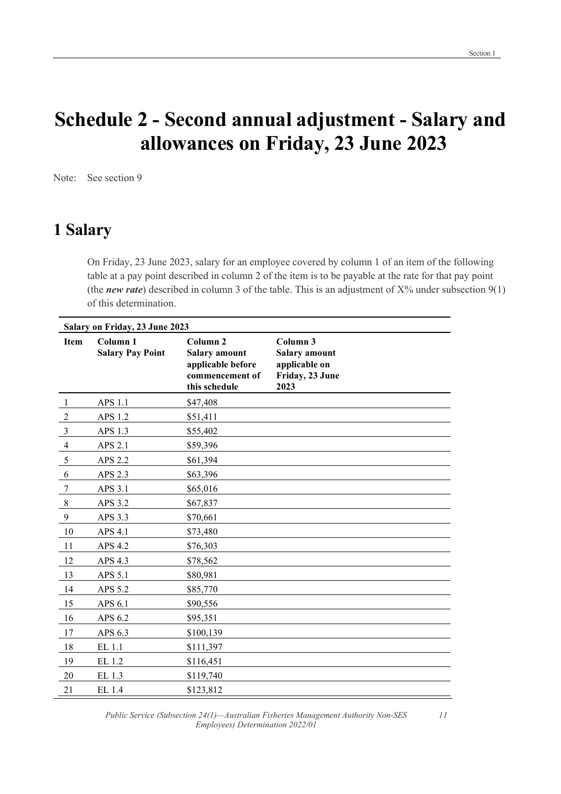## Schedule 2 - Second annual adjustment - Salary and allowances on Friday, 23 June 2023

Note: See section 9

#### 1 Salary

On Friday, 23 June 2023, salary for an employee covered by column 1 of an item of the following table at a pay point described in column 2 of the item is to be payable at the rate for that pay point (the new rate) described in column 3 of the table. This is an adjustment of  $X\%$  under subsection  $9(1)$ of this determination.

|                | Salary on Friday, 23 June 2023                 |                                                                                                      |                                                                              |  |  |
|----------------|------------------------------------------------|------------------------------------------------------------------------------------------------------|------------------------------------------------------------------------------|--|--|
| Item           | Column <sub>1</sub><br><b>Salary Pay Point</b> | Column <sub>2</sub><br><b>Salary amount</b><br>applicable before<br>commencement of<br>this schedule | Column 3<br><b>Salary amount</b><br>applicable on<br>Friday, 23 June<br>2023 |  |  |
| -1             | APS 1.1                                        | \$47,408                                                                                             |                                                                              |  |  |
| $\overline{2}$ | APS 1.2                                        | \$51,411                                                                                             |                                                                              |  |  |
| $\mathfrak{Z}$ | APS 1.3                                        | \$55,402                                                                                             |                                                                              |  |  |
| $\overline{4}$ | APS 2.1                                        | \$59,396                                                                                             |                                                                              |  |  |
| 5              | APS 2.2                                        | \$61,394                                                                                             |                                                                              |  |  |
| 6              | APS 2.3                                        | \$63,396                                                                                             |                                                                              |  |  |
| 7              | APS 3.1                                        | \$65,016                                                                                             |                                                                              |  |  |
| $\,8\,$        | APS 3.2                                        | \$67,837                                                                                             |                                                                              |  |  |
| 9              | APS 3.3                                        | \$70,661                                                                                             |                                                                              |  |  |
| 10             | APS 4.1                                        | \$73,480                                                                                             |                                                                              |  |  |
| 11             | APS 4.2                                        | \$76,303                                                                                             |                                                                              |  |  |
| 12             | APS 4.3                                        | \$78,562                                                                                             |                                                                              |  |  |
| 13             | APS 5.1                                        | \$80,981                                                                                             |                                                                              |  |  |
| 14             | APS 5.2                                        | \$85,770                                                                                             |                                                                              |  |  |
| 15             | APS 6.1                                        | \$90,556                                                                                             |                                                                              |  |  |
| 16             | APS 6.2                                        | \$95,351                                                                                             |                                                                              |  |  |
| 17             | APS 6.3                                        | \$100,139                                                                                            |                                                                              |  |  |
| 18             | EL 1.1                                         | \$111,397                                                                                            |                                                                              |  |  |
| 19             | EL 1.2                                         | \$116,451                                                                                            |                                                                              |  |  |
| 20             | EL 1.3                                         | \$119,740                                                                                            |                                                                              |  |  |
| 21             | EL 1.4                                         | \$123,812                                                                                            |                                                                              |  |  |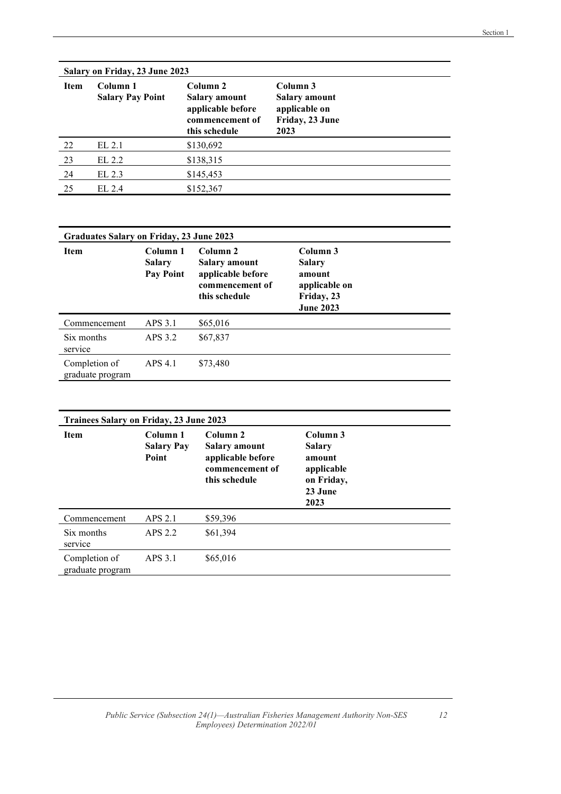| Salary on Friday, 23 June 2023 |                                     |                                                                                                      |                                                                              |  |
|--------------------------------|-------------------------------------|------------------------------------------------------------------------------------------------------|------------------------------------------------------------------------------|--|
| <b>Item</b>                    | Column 1<br><b>Salary Pay Point</b> | Column <sub>2</sub><br><b>Salary amount</b><br>applicable before<br>commencement of<br>this schedule | Column 3<br><b>Salary amount</b><br>applicable on<br>Friday, 23 June<br>2023 |  |
| 22                             | EL 2.1                              | \$130,692                                                                                            |                                                                              |  |
| 23                             | EL 2.2                              | \$138,315                                                                                            |                                                                              |  |
| 24                             | EL 2.3                              | \$145,453                                                                                            |                                                                              |  |
| 25                             | EL 2.4                              | \$152,367                                                                                            |                                                                              |  |

| Graduates Salary on Friday, 23 June 2023 |                                               |                                                                                               |                                                                                 |
|------------------------------------------|-----------------------------------------------|-----------------------------------------------------------------------------------------------|---------------------------------------------------------------------------------|
| Item                                     | Column 1<br><b>Salary</b><br><b>Pay Point</b> | Column <sub>2</sub><br>Salary amount<br>applicable before<br>commencement of<br>this schedule | Column 3<br>Salary<br>amount<br>applicable on<br>Friday, 23<br><b>June 2023</b> |
| Commencement                             | APS 3.1                                       | \$65,016                                                                                      |                                                                                 |
| Six months<br>service                    | APS 3.2                                       | \$67,837                                                                                      |                                                                                 |
| Completion of<br>graduate program        | APS 4.1                                       | \$73,480                                                                                      |                                                                                 |

| <b>Trainees Salary on Friday, 23 June 2023</b> |                                        |                                                                                               |                                                                                    |  |
|------------------------------------------------|----------------------------------------|-----------------------------------------------------------------------------------------------|------------------------------------------------------------------------------------|--|
| <b>Item</b>                                    | Column 1<br><b>Salary Pay</b><br>Point | Column <sub>2</sub><br>Salary amount<br>applicable before<br>commencement of<br>this schedule | Column 3<br><b>Salary</b><br>amount<br>applicable<br>on Friday,<br>23 June<br>2023 |  |
| Commencement                                   | APS 2.1                                | \$59,396                                                                                      |                                                                                    |  |
| Six months<br>service                          | APS 2.2                                | \$61,394                                                                                      |                                                                                    |  |
| Completion of<br>graduate program              | APS 3.1                                | \$65,016                                                                                      |                                                                                    |  |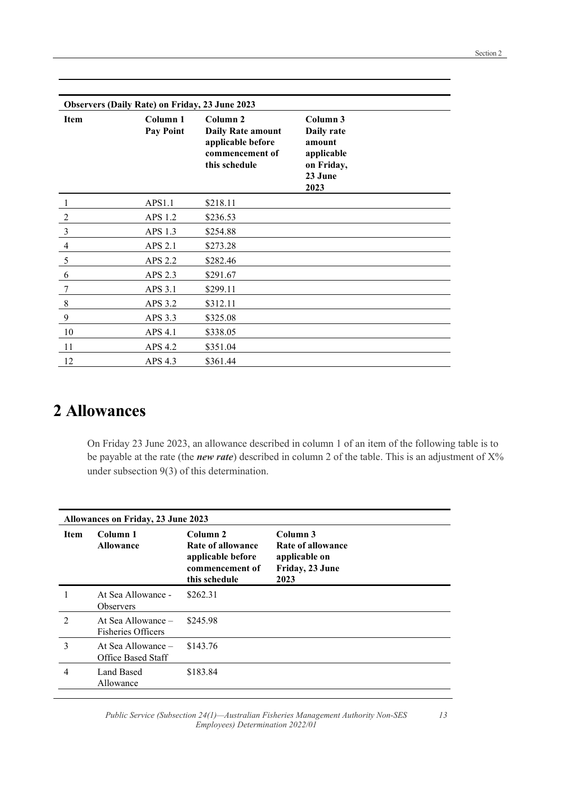| <b>Observers (Daily Rate) on Friday, 23 June 2023</b> |                  |                                               |                      |  |  |
|-------------------------------------------------------|------------------|-----------------------------------------------|----------------------|--|--|
| Item                                                  | Column 1         | Column <sub>2</sub>                           | Column 3             |  |  |
|                                                       | <b>Pay Point</b> | <b>Daily Rate amount</b><br>applicable before | Daily rate<br>amount |  |  |
|                                                       |                  | commencement of                               | applicable           |  |  |
|                                                       |                  | this schedule                                 | on Friday,           |  |  |
|                                                       |                  |                                               | 23 June              |  |  |
|                                                       |                  |                                               | 2023                 |  |  |
| 1                                                     | APS1.1           | \$218.11                                      |                      |  |  |
| $\overline{2}$                                        | APS 1.2          | \$236.53                                      |                      |  |  |
| 3                                                     | APS 1.3          | \$254.88                                      |                      |  |  |
| $\overline{4}$                                        | APS 2.1          | \$273.28                                      |                      |  |  |
| 5                                                     | APS 2.2          | \$282.46                                      |                      |  |  |
| 6                                                     | APS 2.3          | \$291.67                                      |                      |  |  |
| 7                                                     | APS 3.1          | \$299.11                                      |                      |  |  |
| $\,8\,$                                               | APS 3.2          | \$312.11                                      |                      |  |  |
| 9                                                     | APS 3.3          | \$325.08                                      |                      |  |  |
| 10                                                    | APS 4.1          | \$338.05                                      |                      |  |  |
| 11                                                    | APS 4.2          | \$351.04                                      |                      |  |  |
| 12                                                    | APS 4.3          | \$361.44                                      |                      |  |  |

### 2 Allowances

On Friday 23 June 2023, an allowance described in column 1 of an item of the following table is to be payable at the rate (the *new rate*) described in column 2 of the table. This is an adjustment of  $X$ % under subsection 9(3) of this determination.

|                               | <b>Allowances on Friday, 23 June 2023</b>         |                                                                                                   |                                                                           |  |
|-------------------------------|---------------------------------------------------|---------------------------------------------------------------------------------------------------|---------------------------------------------------------------------------|--|
| <b>Item</b>                   | Column 1<br><b>Allowance</b>                      | Column <sub>2</sub><br>Rate of allowance<br>applicable before<br>commencement of<br>this schedule | Column 3<br>Rate of allowance<br>applicable on<br>Friday, 23 June<br>2023 |  |
|                               | At Sea Allowance -<br><b>Observers</b>            | \$262.31                                                                                          |                                                                           |  |
| $\mathfrak{D}_{\mathfrak{p}}$ | At Sea Allowance $-$<br><b>Fisheries Officers</b> | \$245.98                                                                                          |                                                                           |  |
| 3                             | At Sea Allowance –<br>Office Based Staff          | \$143.76                                                                                          |                                                                           |  |
| 4                             | Land Based<br>Allowance                           | \$183.84                                                                                          |                                                                           |  |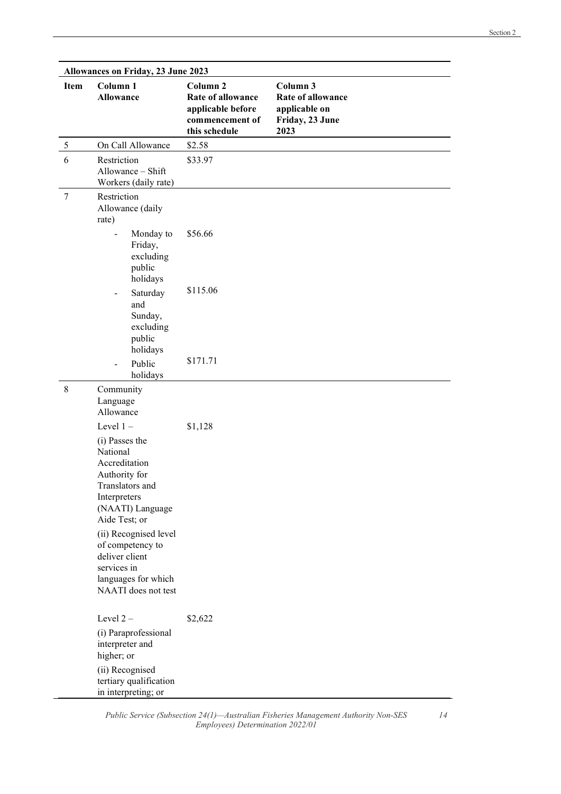|             | <b>Allowances on Friday, 23 June 2023</b>                                                                                                                                                                                                                        |                                                                                                          |                                                                                  |  |
|-------------|------------------------------------------------------------------------------------------------------------------------------------------------------------------------------------------------------------------------------------------------------------------|----------------------------------------------------------------------------------------------------------|----------------------------------------------------------------------------------|--|
| Item        | Column 1<br><b>Allowance</b>                                                                                                                                                                                                                                     | Column <sub>2</sub><br><b>Rate of allowance</b><br>applicable before<br>commencement of<br>this schedule | Column 3<br><b>Rate of allowance</b><br>applicable on<br>Friday, 23 June<br>2023 |  |
| 5           | On Call Allowance                                                                                                                                                                                                                                                | \$2.58                                                                                                   |                                                                                  |  |
| 6           | Restriction<br>Allowance - Shift<br>Workers (daily rate)                                                                                                                                                                                                         | \$33.97                                                                                                  |                                                                                  |  |
| $\tau$      | Restriction<br>Allowance (daily<br>rate)                                                                                                                                                                                                                         |                                                                                                          |                                                                                  |  |
|             | Monday to<br>$\overline{\phantom{0}}$<br>Friday,<br>excluding<br>public<br>holidays                                                                                                                                                                              | \$56.66                                                                                                  |                                                                                  |  |
|             | Saturday<br>-<br>and<br>Sunday,<br>excluding<br>public<br>holidays                                                                                                                                                                                               | \$115.06                                                                                                 |                                                                                  |  |
|             | Public<br>$\overline{\phantom{a}}$<br>holidays                                                                                                                                                                                                                   | \$171.71                                                                                                 |                                                                                  |  |
| $\,$ 8 $\,$ | Community<br>Language<br>Allowance                                                                                                                                                                                                                               |                                                                                                          |                                                                                  |  |
|             | Level $1 -$                                                                                                                                                                                                                                                      | \$1,128                                                                                                  |                                                                                  |  |
|             | (i) Passes the<br>National<br>Accreditation<br>Authority for<br>Translators and<br>Interpreters<br>(NAATI) Language<br>Aide Test; or<br>(ii) Recognised level<br>of competency to<br>deliver client<br>services in<br>languages for which<br>NAATI does not test |                                                                                                          |                                                                                  |  |
|             | Level 2-<br>(i) Paraprofessional<br>interpreter and<br>higher; or<br>(ii) Recognised<br>tertiary qualification<br>in interpreting; or                                                                                                                            | \$2,622                                                                                                  |                                                                                  |  |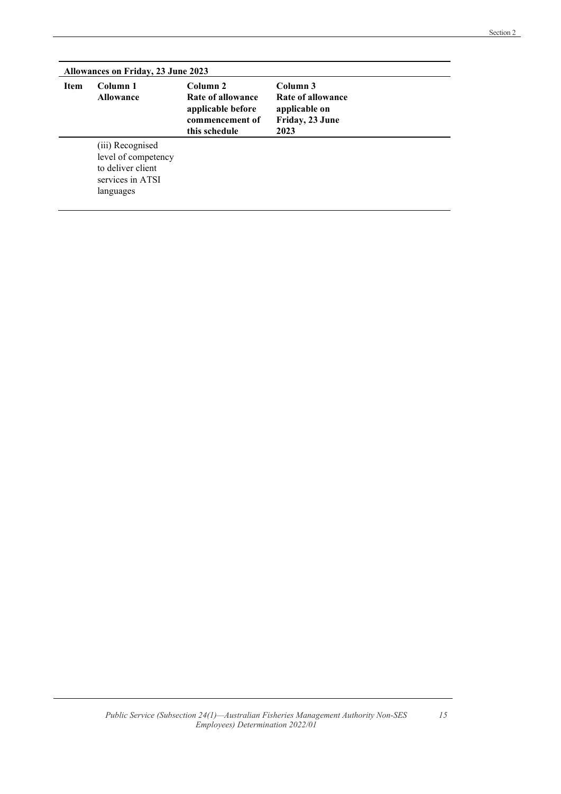|             | Allowances on Friday, 23 June 2023                                                            |                                                                                                   |                                                                           |  |  |
|-------------|-----------------------------------------------------------------------------------------------|---------------------------------------------------------------------------------------------------|---------------------------------------------------------------------------|--|--|
| <b>Item</b> | Column 1<br><b>Allowance</b>                                                                  | Column <sub>2</sub><br>Rate of allowance<br>applicable before<br>commencement of<br>this schedule | Column 3<br>Rate of allowance<br>applicable on<br>Friday, 23 June<br>2023 |  |  |
|             | (iii) Recognised<br>level of competency<br>to deliver client<br>services in ATSI<br>languages |                                                                                                   |                                                                           |  |  |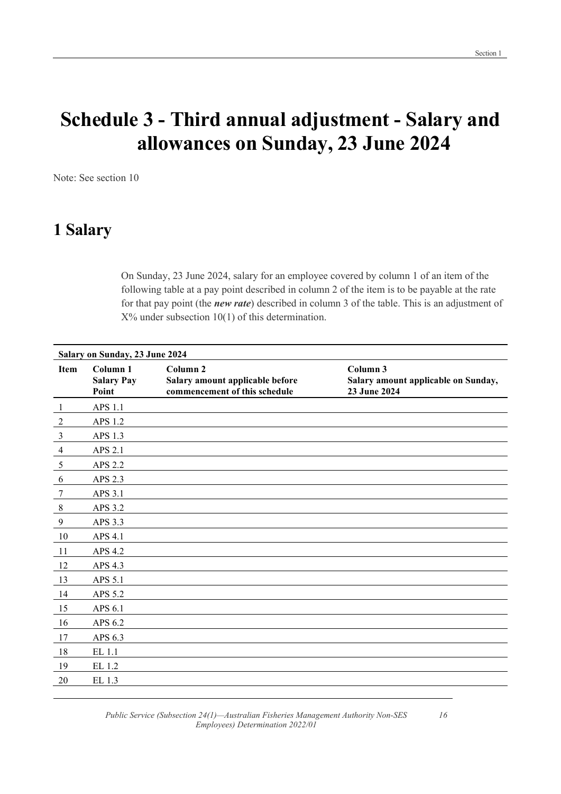16

## Schedule 3 - Third annual adjustment - Salary and allowances on Sunday, 23 June 2024

Note: See section 10

### 1 Salary

On Sunday, 23 June 2024, salary for an employee covered by column 1 of an item of the following table at a pay point described in column 2 of the item is to be payable at the rate for that pay point (the new rate) described in column 3 of the table. This is an adjustment of  $X\%$  under subsection 10(1) of this determination.

|                 | Salary on Sunday, 23 June 2024         |                                                                                         |                                                                 |  |  |
|-----------------|----------------------------------------|-----------------------------------------------------------------------------------------|-----------------------------------------------------------------|--|--|
| Item            | Column 1<br><b>Salary Pay</b><br>Point | Column <sub>2</sub><br>Salary amount applicable before<br>commencement of this schedule | Column 3<br>Salary amount applicable on Sunday,<br>23 June 2024 |  |  |
| $\mathbf{1}$    | APS 1.1                                |                                                                                         |                                                                 |  |  |
| $\overline{2}$  | APS 1.2                                |                                                                                         |                                                                 |  |  |
| $\mathfrak{Z}$  | APS 1.3                                |                                                                                         |                                                                 |  |  |
| $\overline{4}$  | APS 2.1                                |                                                                                         |                                                                 |  |  |
| $\overline{5}$  | APS 2.2                                |                                                                                         |                                                                 |  |  |
| 6               | APS 2.3                                |                                                                                         |                                                                 |  |  |
| $7\phantom{.0}$ | APS 3.1                                |                                                                                         |                                                                 |  |  |
| $\,8\,$         | APS 3.2                                |                                                                                         |                                                                 |  |  |
| $\overline{9}$  | APS 3.3                                |                                                                                         |                                                                 |  |  |
| 10              | APS 4.1                                |                                                                                         |                                                                 |  |  |
| 11              | APS 4.2                                |                                                                                         |                                                                 |  |  |
| 12              | APS 4.3                                |                                                                                         |                                                                 |  |  |
| 13              | APS 5.1                                |                                                                                         |                                                                 |  |  |
| 14              | APS 5.2                                |                                                                                         |                                                                 |  |  |
| 15              | APS 6.1                                |                                                                                         |                                                                 |  |  |
| 16              | APS 6.2                                |                                                                                         |                                                                 |  |  |
| 17              | APS 6.3                                |                                                                                         |                                                                 |  |  |
| 18              | EL 1.1                                 |                                                                                         |                                                                 |  |  |
| 19              | EL 1.2                                 |                                                                                         |                                                                 |  |  |
| 20              | EL 1.3                                 |                                                                                         |                                                                 |  |  |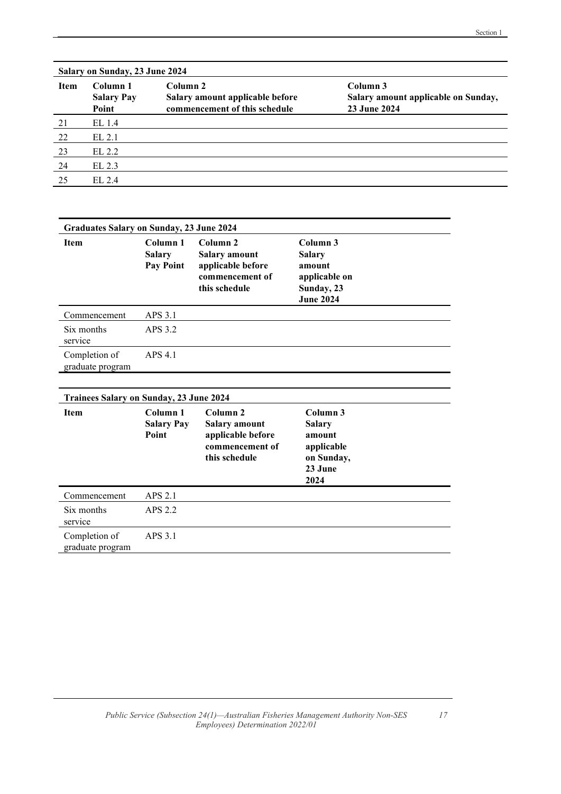|      | Salary on Sunday, 23 June 2024         |                                                                              |                                                                 |  |  |
|------|----------------------------------------|------------------------------------------------------------------------------|-----------------------------------------------------------------|--|--|
| Item | Column 1<br><b>Salary Pay</b><br>Point | Column 2<br>Salary amount applicable before<br>commencement of this schedule | Column 3<br>Salary amount applicable on Sunday,<br>23 June 2024 |  |  |
| 21   | EL 1.4                                 |                                                                              |                                                                 |  |  |
| 22   | EL 2.1                                 |                                                                              |                                                                 |  |  |
| 23   | EL 2.2                                 |                                                                              |                                                                 |  |  |
| 24   | EL 2.3                                 |                                                                              |                                                                 |  |  |
| 25   | EL 2.4                                 |                                                                              |                                                                 |  |  |

|                                         | <b>Graduates Salary on Sunday, 23 June 2024</b>   |                                                                                                      |                                                                                        |  |  |
|-----------------------------------------|---------------------------------------------------|------------------------------------------------------------------------------------------------------|----------------------------------------------------------------------------------------|--|--|
| <b>Item</b>                             | Column 1<br><b>Salary</b><br>Pay Point            | Column <sub>2</sub><br><b>Salary amount</b><br>applicable before<br>commencement of<br>this schedule | Column 3<br><b>Salary</b><br>amount<br>applicable on<br>Sunday, 23<br><b>June 2024</b> |  |  |
| Commencement                            | APS 3.1                                           |                                                                                                      |                                                                                        |  |  |
| Six months<br>service                   | APS 3.2                                           |                                                                                                      |                                                                                        |  |  |
| Completion of<br>graduate program       | APS 4.1                                           |                                                                                                      |                                                                                        |  |  |
|                                         |                                                   |                                                                                                      |                                                                                        |  |  |
| Trainees Salary on Sunday, 23 June 2024 |                                                   |                                                                                                      |                                                                                        |  |  |
| <b>Item</b>                             | Column <sub>1</sub><br><b>Salary Pay</b><br>Point | Column <sub>2</sub><br><b>Salary amount</b><br>applicable before<br>commencement of<br>this schedule | Column 3<br><b>Salary</b><br>amount<br>applicable<br>on Sunday,<br>23 June<br>2024     |  |  |
| Commencement                            | APS 2.1                                           |                                                                                                      |                                                                                        |  |  |
| Six months<br>service                   | APS 2.2                                           |                                                                                                      |                                                                                        |  |  |
| Completion of                           | APS 3.1                                           |                                                                                                      |                                                                                        |  |  |

graduate program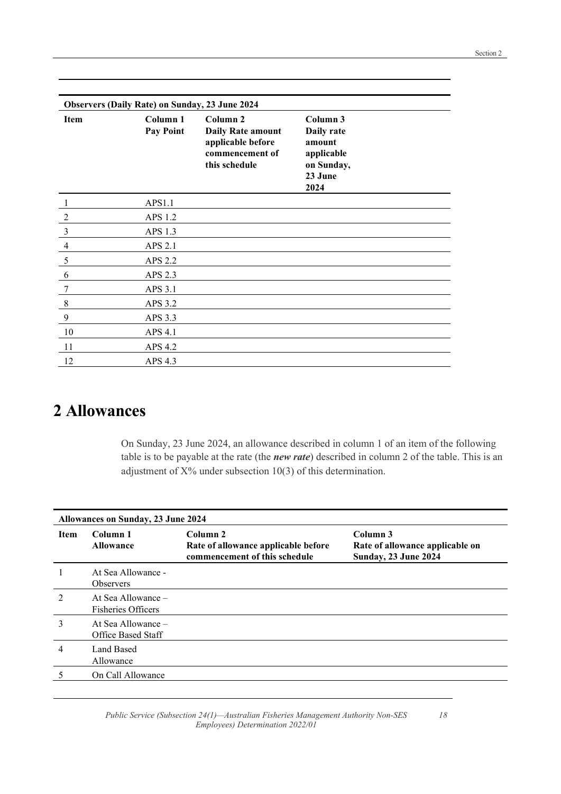| <b>Observers (Daily Rate) on Sunday, 23 June 2024</b> |                              |                                                                                               |                                                                                 |  |
|-------------------------------------------------------|------------------------------|-----------------------------------------------------------------------------------------------|---------------------------------------------------------------------------------|--|
| <b>Item</b>                                           | Column 1<br><b>Pay Point</b> | Column 2<br><b>Daily Rate amount</b><br>applicable before<br>commencement of<br>this schedule | Column 3<br>Daily rate<br>amount<br>applicable<br>on Sunday,<br>23 June<br>2024 |  |
| 1                                                     | APS1.1                       |                                                                                               |                                                                                 |  |
| $\overline{2}$                                        | APS 1.2                      |                                                                                               |                                                                                 |  |
| $\mathfrak{Z}$                                        | APS 1.3                      |                                                                                               |                                                                                 |  |
| $\overline{4}$                                        | APS 2.1                      |                                                                                               |                                                                                 |  |
| 5                                                     | APS 2.2                      |                                                                                               |                                                                                 |  |
| 6                                                     | APS 2.3                      |                                                                                               |                                                                                 |  |
| 7                                                     | APS 3.1                      |                                                                                               |                                                                                 |  |
| $\,8\,$                                               | APS 3.2                      |                                                                                               |                                                                                 |  |
| 9                                                     | APS 3.3                      |                                                                                               |                                                                                 |  |
| 10                                                    | APS 4.1                      |                                                                                               |                                                                                 |  |
| 11                                                    | APS 4.2                      |                                                                                               |                                                                                 |  |
| 12                                                    | APS 4.3                      |                                                                                               |                                                                                 |  |

### 2 Allowances

On Sunday, 23 June 2024, an allowance described in column 1 of an item of the following table is to be payable at the rate (the new rate) described in column 2 of the table. This is an adjustment of X% under subsection 10(3) of this determination.

| Allowances on Sunday, 23 June 2024 |                                                   |                                                                                             |                                                                            |
|------------------------------------|---------------------------------------------------|---------------------------------------------------------------------------------------------|----------------------------------------------------------------------------|
| <b>Item</b>                        | Column 1<br><b>Allowance</b>                      | Column <sub>2</sub><br>Rate of allowance applicable before<br>commencement of this schedule | Column 3<br>Rate of allowance applicable on<br><b>Sunday, 23 June 2024</b> |
|                                    | At Sea Allowance -<br><b>Observers</b>            |                                                                                             |                                                                            |
| 2                                  | At Sea Allowance $-$<br><b>Fisheries Officers</b> |                                                                                             |                                                                            |
| 3                                  | At Sea Allowance –<br><b>Office Based Staff</b>   |                                                                                             |                                                                            |
| 4                                  | Land Based<br>Allowance                           |                                                                                             |                                                                            |
|                                    | On Call Allowance                                 |                                                                                             |                                                                            |

18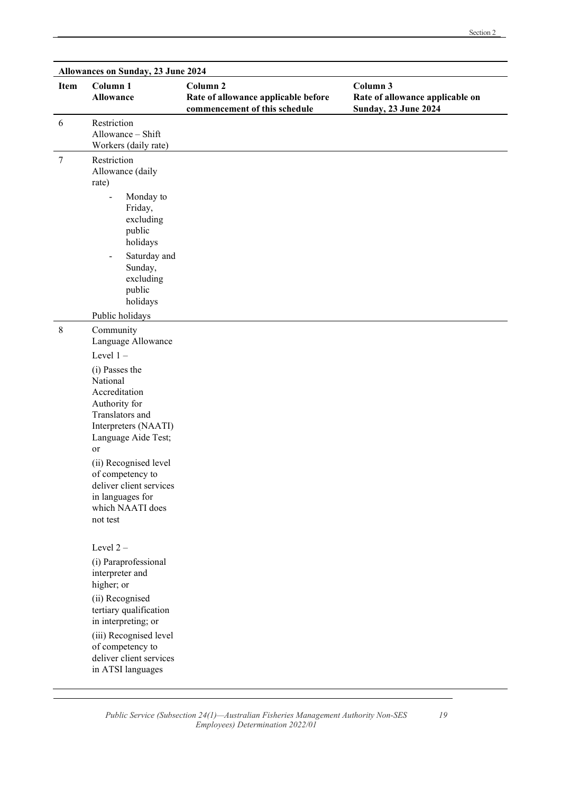19

| <b>Allowances on Sunday, 23 June 2024</b> |                                                                                                 |                                                                                             |                                                                            |  |
|-------------------------------------------|-------------------------------------------------------------------------------------------------|---------------------------------------------------------------------------------------------|----------------------------------------------------------------------------|--|
| Item                                      | Column 1<br><b>Allowance</b>                                                                    | Column <sub>2</sub><br>Rate of allowance applicable before<br>commencement of this schedule | Column 3<br>Rate of allowance applicable on<br><b>Sunday, 23 June 2024</b> |  |
| 6                                         | Restriction<br>Allowance - Shift<br>Workers (daily rate)                                        |                                                                                             |                                                                            |  |
| $\tau$                                    | Restriction<br>Allowance (daily<br>rate)<br>Monday to<br>$\overline{a}$<br>Friday,<br>excluding |                                                                                             |                                                                            |  |
|                                           | public<br>holidays                                                                              |                                                                                             |                                                                            |  |
|                                           | Saturday and<br>$\qquad \qquad \blacksquare$<br>Sunday,<br>excluding<br>public<br>holidays      |                                                                                             |                                                                            |  |
|                                           | Public holidays                                                                                 |                                                                                             |                                                                            |  |
| $\,8\,$                                   | Community<br>Language Allowance                                                                 |                                                                                             |                                                                            |  |
|                                           | Level $1 -$                                                                                     |                                                                                             |                                                                            |  |
|                                           | (i) Passes the                                                                                  |                                                                                             |                                                                            |  |
|                                           | National<br>Accreditation                                                                       |                                                                                             |                                                                            |  |
|                                           | Authority for                                                                                   |                                                                                             |                                                                            |  |
|                                           | Translators and<br>Interpreters (NAATI)                                                         |                                                                                             |                                                                            |  |
|                                           | Language Aide Test;<br>or                                                                       |                                                                                             |                                                                            |  |
|                                           | (ii) Recognised level                                                                           |                                                                                             |                                                                            |  |
|                                           | of competency to<br>deliver client services                                                     |                                                                                             |                                                                            |  |
|                                           | in languages for                                                                                |                                                                                             |                                                                            |  |
|                                           | which NAATI does<br>not test                                                                    |                                                                                             |                                                                            |  |
|                                           | Level 2-                                                                                        |                                                                                             |                                                                            |  |
|                                           | (i) Paraprofessional<br>interpreter and<br>higher; or                                           |                                                                                             |                                                                            |  |
|                                           | (ii) Recognised<br>tertiary qualification<br>in interpreting; or                                |                                                                                             |                                                                            |  |
|                                           | (iii) Recognised level<br>of competency to<br>deliver client services<br>in ATSI languages      |                                                                                             |                                                                            |  |